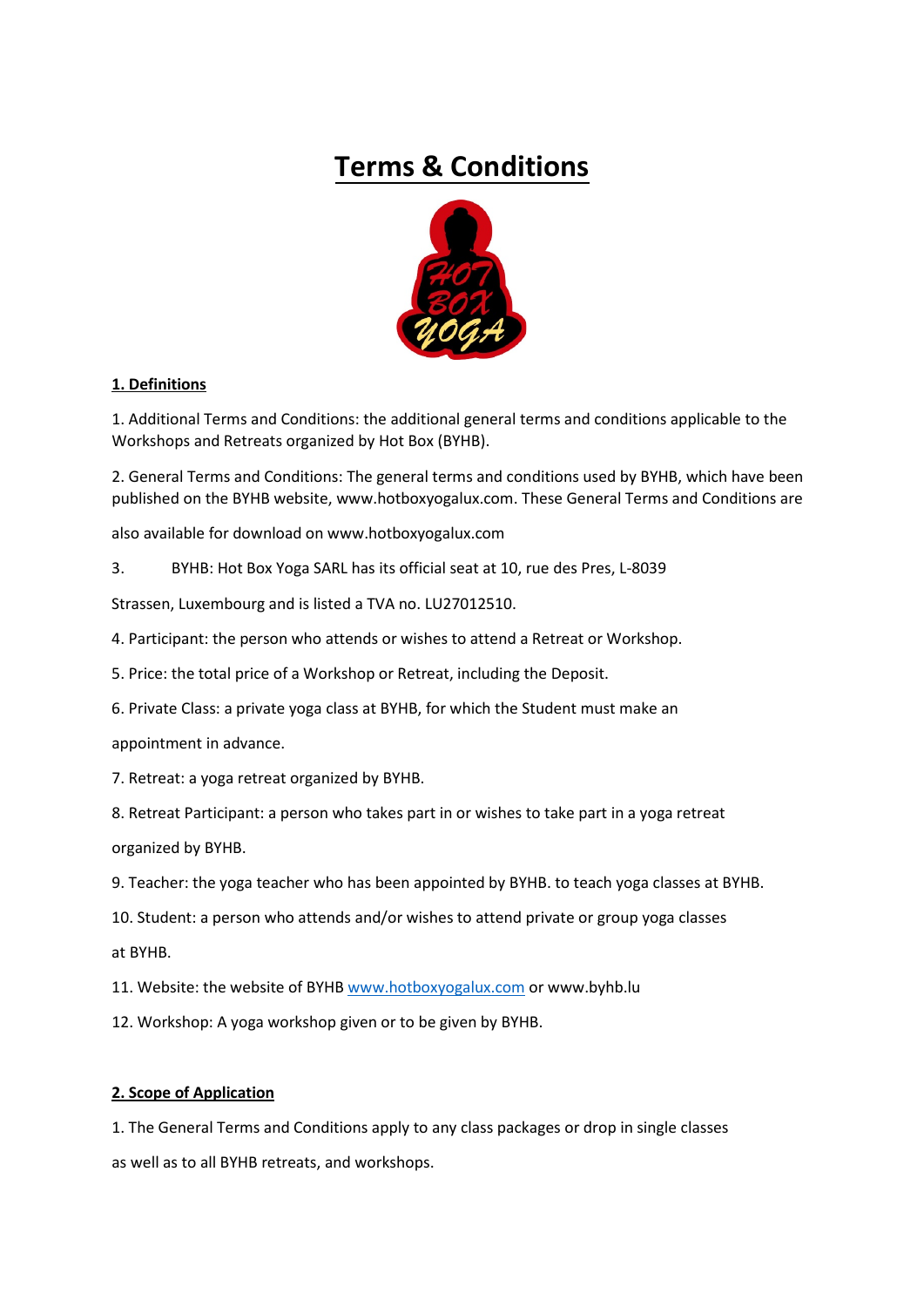# **Terms & Conditions**



## **1. Definitions**

1. Additional Terms and Conditions: the additional general terms and conditions applicable to the Workshops and Retreats organized by Hot Box (BYHB).

2. General Terms and Conditions: The general terms and conditions used by BYHB, which have been published on the BYHB website, www.hotboxyogalux.com. These General Terms and Conditions are

also available for download on www.hotboxyogalux.com

3. BYHB: Hot Box Yoga SARL has its official seat at 10, rue des Pres, L-8039

Strassen, Luxembourg and is listed a TVA no. LU27012510.

- 4. Participant: the person who attends or wishes to attend a Retreat or Workshop.
- 5. Price: the total price of a Workshop or Retreat, including the Deposit.
- 6. Private Class: a private yoga class at BYHB, for which the Student must make an

appointment in advance.

7. Retreat: a yoga retreat organized by BYHB.

8. Retreat Participant: a person who takes part in or wishes to take part in a yoga retreat

organized by BYHB.

9. Teacher: the yoga teacher who has been appointed by BYHB. to teach yoga classes at BYHB.

10. Student: a person who attends and/or wishes to attend private or group yoga classes

at BYHB.

11. Website: the website of BYHB [www.hotboxyogalux.com](http://www.hotboxyogalux.com/) or www.byhb.lu

12. Workshop: A yoga workshop given or to be given by BYHB.

## **2. Scope of Application**

1. The General Terms and Conditions apply to any class packages or drop in single classes as well as to all BYHB retreats, and workshops.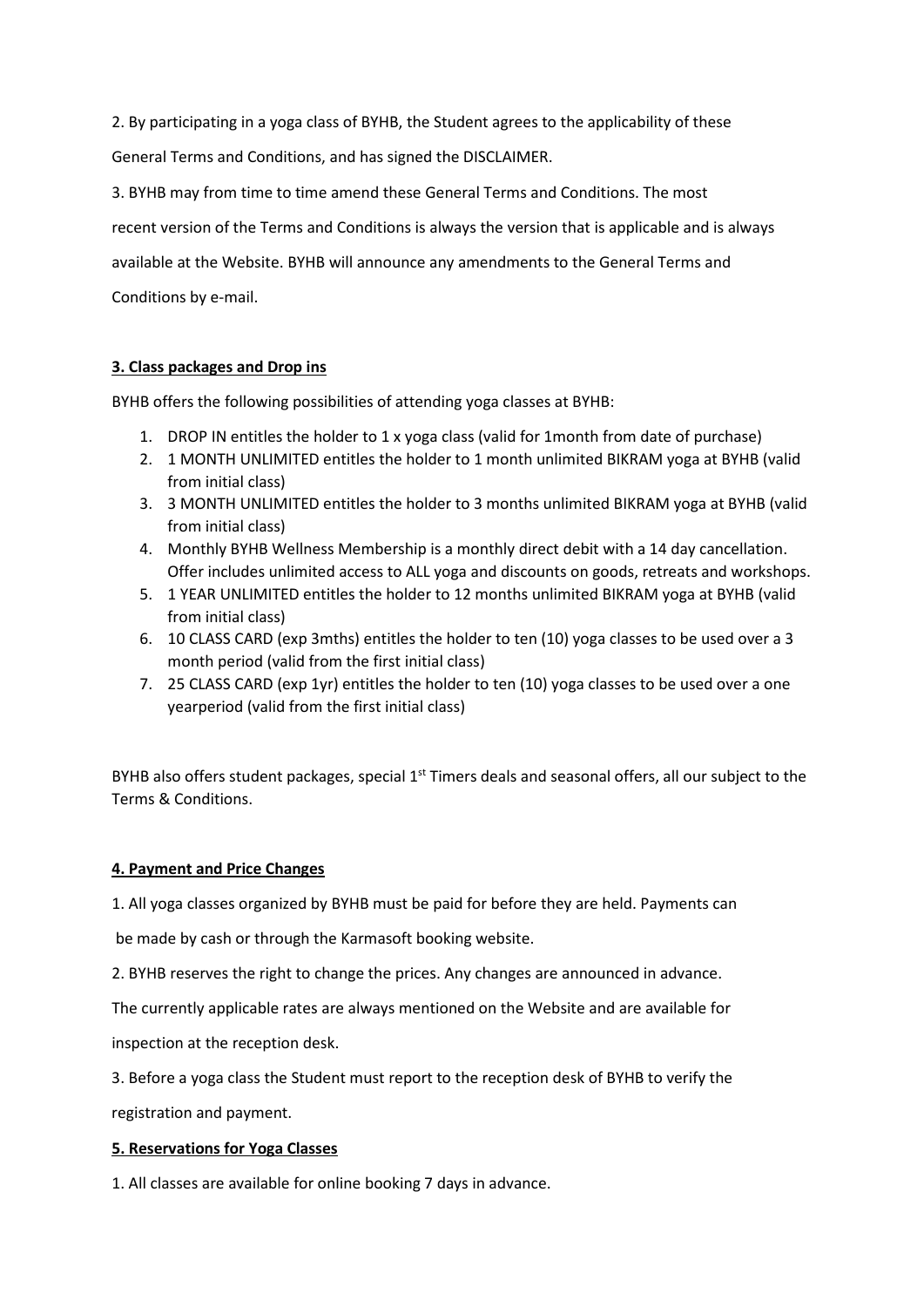2. By participating in a yoga class of BYHB, the Student agrees to the applicability of these General Terms and Conditions, and has signed the DISCLAIMER.

3. BYHB may from time to time amend these General Terms and Conditions. The most recent version of the Terms and Conditions is always the version that is applicable and is always available at the Website. BYHB will announce any amendments to the General Terms and Conditions by e-mail.

## **3. Class packages and Drop ins**

BYHB offers the following possibilities of attending yoga classes at BYHB:

- 1. DROP IN entitles the holder to 1 x yoga class (valid for 1month from date of purchase)
- 2. 1 MONTH UNLIMITED entitles the holder to 1 month unlimited BIKRAM yoga at BYHB (valid from initial class)
- 3. 3 MONTH UNLIMITED entitles the holder to 3 months unlimited BIKRAM yoga at BYHB (valid from initial class)
- 4. Monthly BYHB Wellness Membership is a monthly direct debit with a 14 day cancellation. Offer includes unlimited access to ALL yoga and discounts on goods, retreats and workshops.
- 5. 1 YEAR UNLIMITED entitles the holder to 12 months unlimited BIKRAM yoga at BYHB (valid from initial class)
- 6. 10 CLASS CARD (exp 3mths) entitles the holder to ten (10) yoga classes to be used over a 3 month period (valid from the first initial class)
- 7. 25 CLASS CARD (exp 1yr) entitles the holder to ten (10) yoga classes to be used over a one yearperiod (valid from the first initial class)

BYHB also offers student packages, special 1<sup>st</sup> Timers deals and seasonal offers, all our subject to the Terms & Conditions.

## **4. Payment and Price Changes**

1. All yoga classes organized by BYHB must be paid for before they are held. Payments can

be made by cash or through the Karmasoft booking website.

2. BYHB reserves the right to change the prices. Any changes are announced in advance.

The currently applicable rates are always mentioned on the Website and are available for

inspection at the reception desk.

3. Before a yoga class the Student must report to the reception desk of BYHB to verify the

registration and payment.

## **5. Reservations for Yoga Classes**

1. All classes are available for online booking 7 days in advance.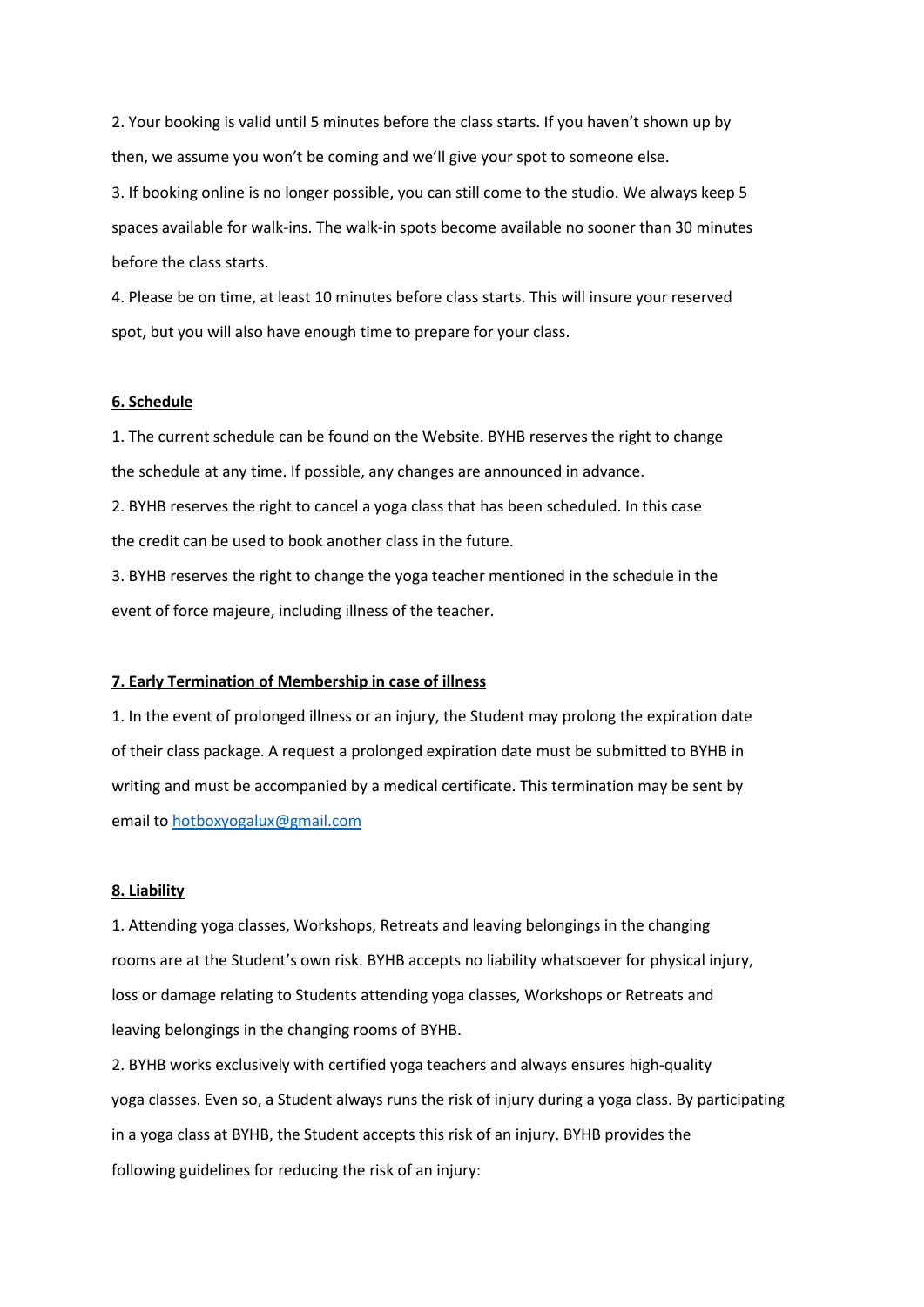2. Your booking is valid until 5 minutes before the class starts. If you haven't shown up by then, we assume you won't be coming and we'll give your spot to someone else.

3. If booking online is no longer possible, you can still come to the studio. We always keep 5 spaces available for walk-ins. The walk-in spots become available no sooner than 30 minutes before the class starts.

4. Please be on time, at least 10 minutes before class starts. This will insure your reserved spot, but you will also have enough time to prepare for your class.

#### **6. Schedule**

1. The current schedule can be found on the Website. BYHB reserves the right to change the schedule at any time. If possible, any changes are announced in advance.

2. BYHB reserves the right to cancel a yoga class that has been scheduled. In this case the credit can be used to book another class in the future.

3. BYHB reserves the right to change the yoga teacher mentioned in the schedule in the event of force majeure, including illness of the teacher.

#### **7. Early Termination of Membership in case of illness**

1. In the event of prolonged illness or an injury, the Student may prolong the expiration date of their class package. A request a prolonged expiration date must be submitted to BYHB in writing and must be accompanied by a medical certificate. This termination may be sent by email to [hotboxyogalux@gmail.com](mailto:hotboxyogalux@gmail.com)

#### **8. Liability**

1. Attending yoga classes, Workshops, Retreats and leaving belongings in the changing rooms are at the Student's own risk. BYHB accepts no liability whatsoever for physical injury, loss or damage relating to Students attending yoga classes, Workshops or Retreats and leaving belongings in the changing rooms of BYHB.

2. BYHB works exclusively with certified yoga teachers and always ensures high-quality yoga classes. Even so, a Student always runs the risk of injury during a yoga class. By participating in a yoga class at BYHB, the Student accepts this risk of an injury. BYHB provides the following guidelines for reducing the risk of an injury: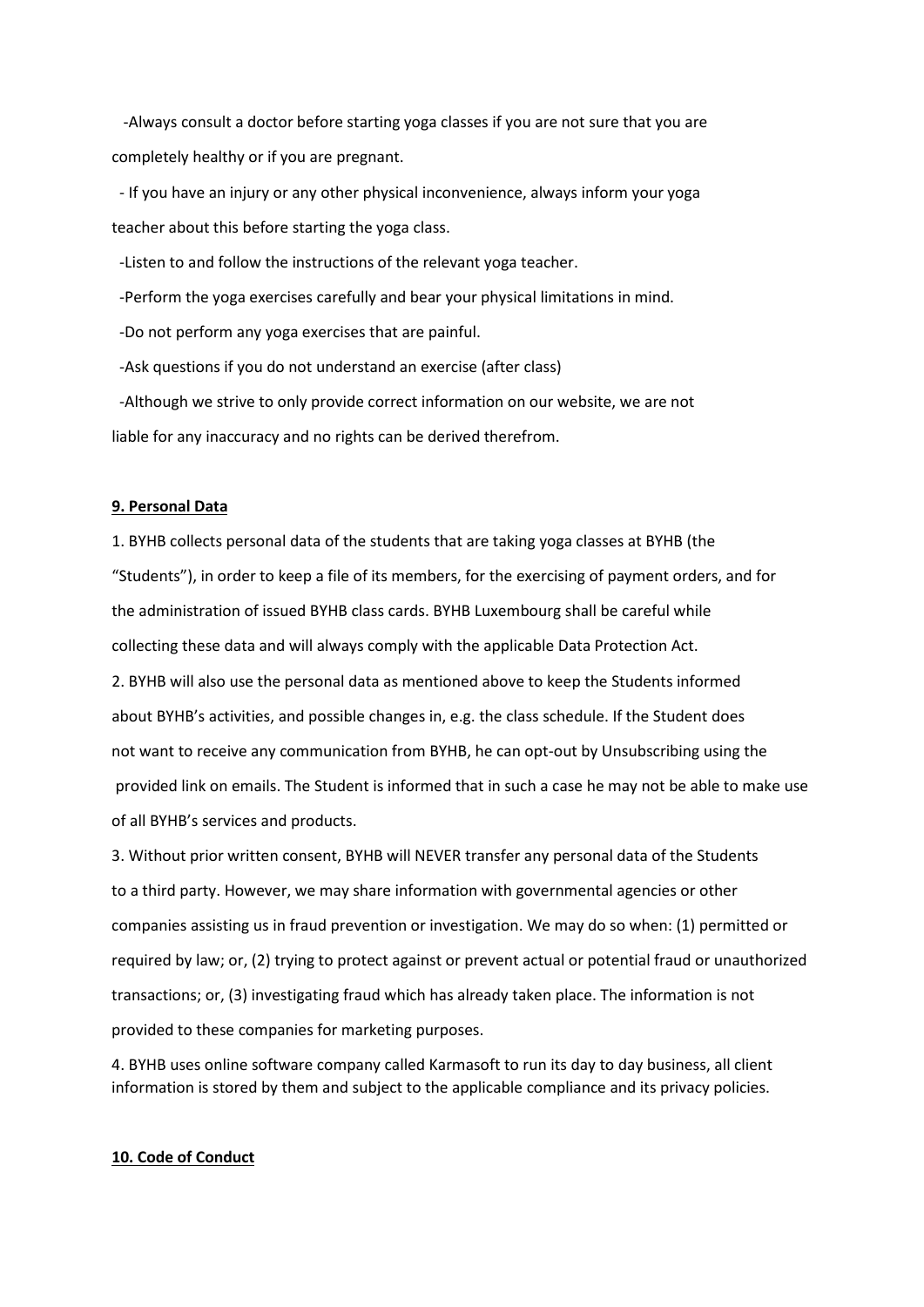-Always consult a doctor before starting yoga classes if you are not sure that you are completely healthy or if you are pregnant.

- If you have an injury or any other physical inconvenience, always inform your yoga teacher about this before starting the yoga class.

-Listen to and follow the instructions of the relevant yoga teacher.

-Perform the yoga exercises carefully and bear your physical limitations in mind.

-Do not perform any yoga exercises that are painful.

-Ask questions if you do not understand an exercise (after class)

-Although we strive to only provide correct information on our website, we are not liable for any inaccuracy and no rights can be derived therefrom.

#### **9. Personal Data**

1. BYHB collects personal data of the students that are taking yoga classes at BYHB (the "Students"), in order to keep a file of its members, for the exercising of payment orders, and for the administration of issued BYHB class cards. BYHB Luxembourg shall be careful while collecting these data and will always comply with the applicable Data Protection Act. 2. BYHB will also use the personal data as mentioned above to keep the Students informed about BYHB's activities, and possible changes in, e.g. the class schedule. If the Student does not want to receive any communication from BYHB, he can opt-out by Unsubscribing using the provided link on emails. The Student is informed that in such a case he may not be able to make use of all BYHB's services and products.

3. Without prior written consent, BYHB will NEVER transfer any personal data of the Students to a third party. However, we may share information with governmental agencies or other companies assisting us in fraud prevention or investigation. We may do so when: (1) permitted or required by law; or, (2) trying to protect against or prevent actual or potential fraud or unauthorized transactions; or, (3) investigating fraud which has already taken place. The information is not provided to these companies for marketing purposes.

4. BYHB uses online software company called Karmasoft to run its day to day business, all client information is stored by them and subject to the applicable compliance and its privacy policies.

#### **10. Code of Conduct**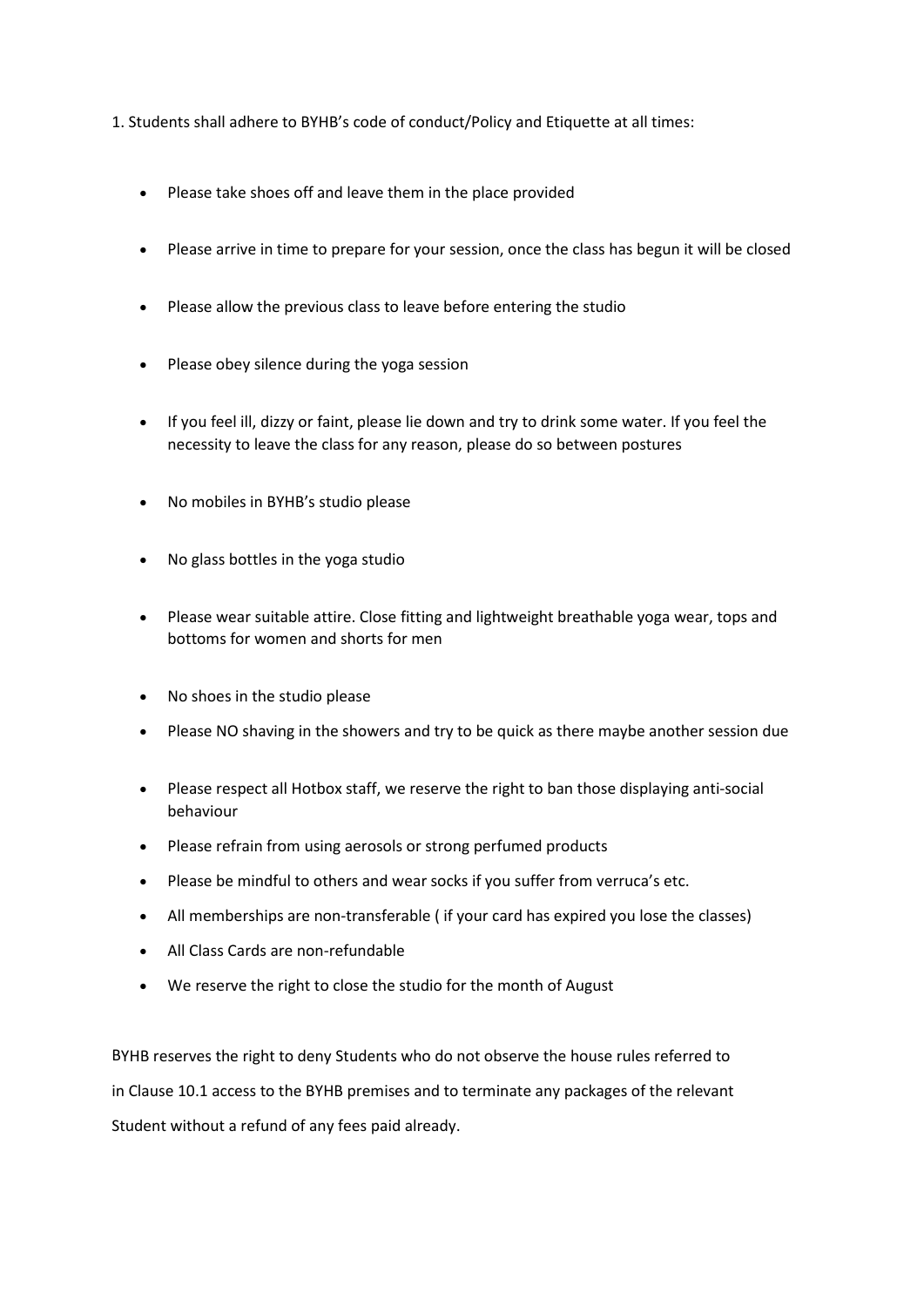- 1. Students shall adhere to BYHB's code of conduct/Policy and Etiquette at all times:
	- Please take shoes off and leave them in the place provided
	- Please arrive in time to prepare for your session, once the class has begun it will be closed
	- Please allow the previous class to leave before entering the studio
	- Please obey silence during the yoga session
	- If you feel ill, dizzy or faint, please lie down and try to drink some water. If you feel the necessity to leave the class for any reason, please do so between postures
	- No mobiles in BYHB's studio please
	- No glass bottles in the yoga studio
	- Please wear suitable attire. Close fitting and lightweight breathable yoga wear, tops and bottoms for women and shorts for men
	- No shoes in the studio please
	- Please NO shaving in the showers and try to be quick as there maybe another session due
	- Please respect all Hotbox staff, we reserve the right to ban those displaying anti-social behaviour
	- Please refrain from using aerosols or strong perfumed products
	- Please be mindful to others and wear socks if you suffer from verruca's etc.
	- All memberships are non-transferable ( if your card has expired you lose the classes)
	- All Class Cards are non-refundable
	- We reserve the right to close the studio for the month of August

BYHB reserves the right to deny Students who do not observe the house rules referred to in Clause 10.1 access to the BYHB premises and to terminate any packages of the relevant Student without a refund of any fees paid already.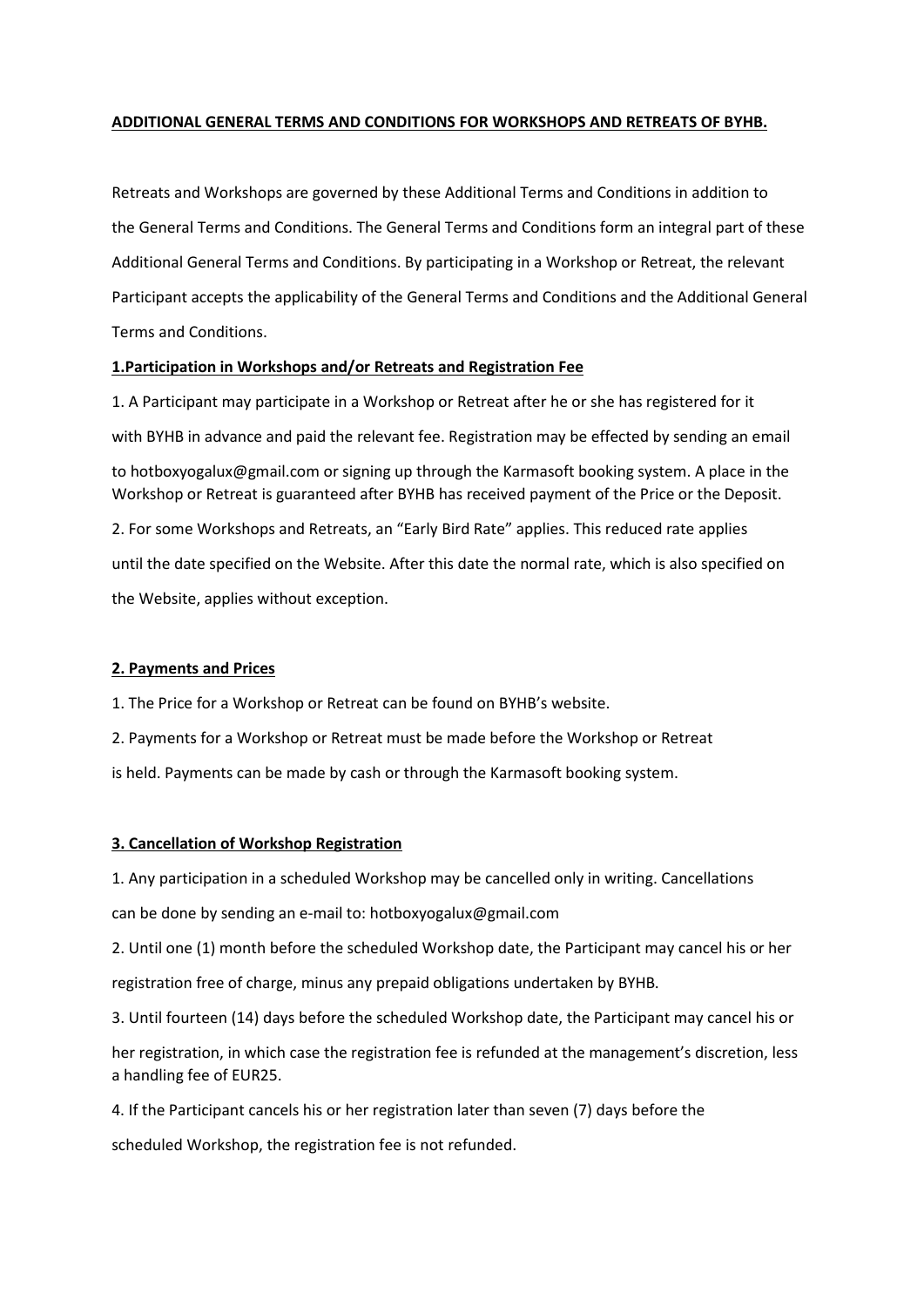## **ADDITIONAL GENERAL TERMS AND CONDITIONS FOR WORKSHOPS AND RETREATS OF BYHB.**

Retreats and Workshops are governed by these Additional Terms and Conditions in addition to the General Terms and Conditions. The General Terms and Conditions form an integral part of these Additional General Terms and Conditions. By participating in a Workshop or Retreat, the relevant Participant accepts the applicability of the General Terms and Conditions and the Additional General Terms and Conditions.

#### **1.Participation in Workshops and/or Retreats and Registration Fee**

1. A Participant may participate in a Workshop or Retreat after he or she has registered for it with BYHB in advance and paid the relevant fee. Registration may be effected by sending an email to hotboxyogalux@gmail.com or signing up through the Karmasoft booking system. A place in the Workshop or Retreat is guaranteed after BYHB has received payment of the Price or the Deposit. 2. For some Workshops and Retreats, an "Early Bird Rate" applies. This reduced rate applies until the date specified on the Website. After this date the normal rate, which is also specified on

the Website, applies without exception.

#### **2. Payments and Prices**

1. The Price for a Workshop or Retreat can be found on BYHB's website.

2. Payments for a Workshop or Retreat must be made before the Workshop or Retreat

is held. Payments can be made by cash or through the Karmasoft booking system.

#### **3. Cancellation of Workshop Registration**

1. Any participation in a scheduled Workshop may be cancelled only in writing. Cancellations

can be done by sending an e-mail to: hotboxyogalux@gmail.com

2. Until one (1) month before the scheduled Workshop date, the Participant may cancel his or her

registration free of charge, minus any prepaid obligations undertaken by BYHB.

3. Until fourteen (14) days before the scheduled Workshop date, the Participant may cancel his or

her registration, in which case the registration fee is refunded at the management's discretion, less a handling fee of EUR25.

4. If the Participant cancels his or her registration later than seven (7) days before the

scheduled Workshop, the registration fee is not refunded.